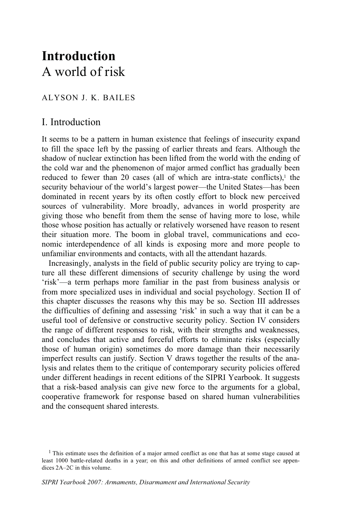# **Introduction** A world of risk

### ALYSON J. K. BAILES

# I. Introduction

It seems to be a pattern in human existence that feelings of insecurity expand to fill the space left by the passing of earlier threats and fears. Although the shadow of nuclear extinction has been lifted from the world with the ending of the cold war and the phenomenon of major armed conflict has gradually been reduced to fewer than 20 cases (all of which are intra-state conflicts).<sup>1</sup> the security behaviour of the world's largest power—the United States—has been dominated in recent years by its often costly effort to block new perceived sources of vulnerability. More broadly, advances in world prosperity are giving those who benefit from them the sense of having more to lose, while those whose position has actually or relatively worsened have reason to resent their situation more. The boom in global travel, communications and economic interdependence of all kinds is exposing more and more people to unfamiliar environments and contacts, with all the attendant hazards.

Increasingly, analysts in the field of public security policy are trying to capture all these different dimensions of security challenge by using the word 'risk'—a term perhaps more familiar in the past from business analysis or from more specialized uses in individual and social psychology. Section II of this chapter discusses the reasons why this may be so. Section III addresses the difficulties of defining and assessing 'risk' in such a way that it can be a useful tool of defensive or constructive security policy. Section IV considers the range of different responses to risk, with their strengths and weaknesses, and concludes that active and forceful efforts to eliminate risks (especially those of human origin) sometimes do more damage than their necessarily imperfect results can justify. Section V draws together the results of the analysis and relates them to the critique of contemporary security policies offered under different headings in recent editions of the SIPRI Yearbook. It suggests that a risk-based analysis can give new force to the arguments for a global, cooperative framework for response based on shared human vulnerabilities and the consequent shared interests.

<sup>&</sup>lt;sup>1</sup> This estimate uses the definition of a major armed conflict as one that has at some stage caused at least 1000 battle-related deaths in a year; on this and other definitions of armed conflict see appendices 2A–2C in this volume.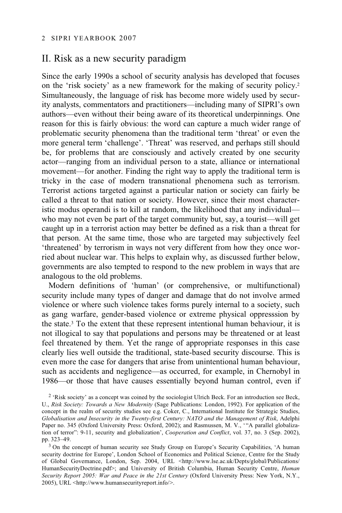# II. Risk as a new security paradigm

Since the early 1990s a school of security analysis has developed that focuses on the 'risk society' as a new framework for the making of security policy.2 Simultaneously, the language of risk has become more widely used by security analysts, commentators and practitioners—including many of SIPRI's own authors—even without their being aware of its theoretical underpinnings. One reason for this is fairly obvious: the word can capture a much wider range of problematic security phenomena than the traditional term 'threat' or even the more general term 'challenge'. 'Threat' was reserved, and perhaps still should be, for problems that are consciously and actively created by one security actor—ranging from an individual person to a state, alliance or international movement—for another. Finding the right way to apply the traditional term is tricky in the case of modern transnational phenomena such as terrorism. Terrorist actions targeted against a particular nation or society can fairly be called a threat to that nation or society. However, since their most characteristic modus operandi is to kill at random, the likelihood that any individual who may not even be part of the target community but, say, a tourist—will get caught up in a terrorist action may better be defined as a risk than a threat for that person. At the same time, those who are targeted may subjectively feel 'threatened' by terrorism in ways not very different from how they once worried about nuclear war. This helps to explain why, as discussed further below, governments are also tempted to respond to the new problem in ways that are analogous to the old problems.

Modern definitions of 'human' (or comprehensive, or multifunctional) security include many types of danger and damage that do not involve armed violence or where such violence takes forms purely internal to a society, such as gang warfare, gender-based violence or extreme physical oppresssion by the state.3 To the extent that these represent intentional human behaviour, it is not illogical to say that populations and persons may be threatened or at least feel threatened by them. Yet the range of appropriate responses in this case clearly lies well outside the traditional, state-based security discourse. This is even more the case for dangers that arise from unintentional human behaviour, such as accidents and negligence—as occurred, for example, in Chernobyl in 1986—or those that have causes essentially beyond human control, even if

2 'Risk society' as a concept was coined by the sociologist Ulrich Beck. For an introduction see Beck, U., *Risk Society: Towards a New Modernity* (Sage Publications: London, 1992). For application of the concept in the realm of security studies see e.g. Coker, C., International Institute for Strategic Studies, *Globalisation and Insecurity in the Twenty-first Century: NATO and the Management of Risk*, Adelphi Paper no. 345 (Oxford University Press: Oxford, 2002); and Rasmussen, M. V., "A parallel globalization of terror": 9-11, security and globalization', *Cooperation and Conflict*, vol. 37, no. 3 (Sep. 2002), pp. 323-49.

 $3$  On the concept of human security see Study Group on Europe's Security Capabilities, 'A human security doctrine for Europe', London School of Economics and Political Science, Centre for the Study of Global Governance, London, Sep. 2004, URL <http://www.lse.ac.uk/Depts/global/Publications/ HumanSecurityDoctrine.pdf>; and University of British Columbia, Human Security Centre, *Human Security Report 2005: War and Peace in the 21st Century* (Oxford University Press: New York, N.Y., 2005), URL <http://www.humansecurityreport.info/>.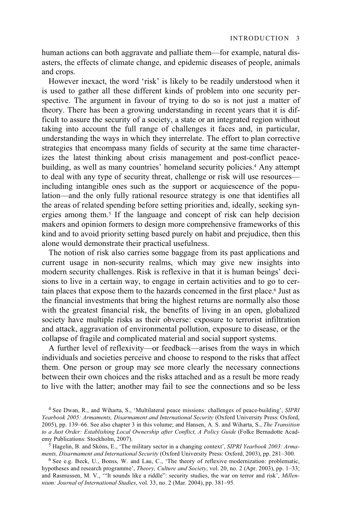human actions can both aggravate and palliate them—for example, natural disasters, the effects of climate change, and epidemic diseases of people, animals and crops.

However inexact, the word 'risk' is likely to be readily understood when it is used to gather all these different kinds of problem into one security perspective. The argument in favour of trying to do so is not just a matter of theory. There has been a growing understanding in recent years that it is difficult to assure the security of a society, a state or an integrated region without taking into account the full range of challenges it faces and, in particular, understanding the ways in which they interrelate. The effort to plan corrective strategies that encompass many fields of security at the same time characterizes the latest thinking about crisis management and post-conflict peacebuilding, as well as many countries' homeland security policies.4 Any attempt to deal with any type of security threat, challenge or risk will use resources including intangible ones such as the support or acquiescence of the population—and the only fully rational resource strategy is one that identifies all the areas of related spending before setting priorities and, ideally, seeking synergies among them.<sup>5</sup> If the language and concept of risk can help decision makers and opinion formers to design more comprehensive frameworks of this kind and to avoid priority setting based purely on habit and prejudice, then this alone would demonstrate their practical usefulness.

The notion of risk also carries some baggage from its past applications and current usage in non-security realms, which may give new insights into modern security challenges. Risk is reflexive in that it is human beings' decisions to live in a certain way, to engage in certain activities and to go to certain places that expose them to the hazards concerned in the first place.<sup>6</sup> Just as the financial investments that bring the highest returns are normally also those with the greatest financial risk, the benefits of living in an open, globalized society have multiple risks as their obverse: exposure to terrorist infiltration and attack, aggravation of environmental pollution, exposure to disease, or the collapse of fragile and complicated material and social support systems.

A further level of reflexivity—or feedback—arises from the ways in which individuals and societies perceive and choose to respond to the risks that affect them. One person or group may see more clearly the necessary connections between their own choices and the risks attached and as a result be more ready to live with the latter; another may fail to see the connections and so be less

<sup>4</sup> See Dwan, R., and Wiharta, S., 'Multilateral peace missions: challenges of peace-building', *SIPRI Yearbook 2005: Armaments, Disarmament and International Security* (Oxford University Press: Oxford, 2005), pp. 139–66. See also chapter 3 in this volume; and Hansen, A. S. and Wiharta, S., *The Transition to a Just Order: Establishing Local Ownership after Conflict, A Policy Guide* (Folke Bernadotte Acad-

<sup>&</sup>lt;sup>5</sup> Hagelin, B. and Sköns, E., 'The military sector in a changing context', *SIPRI Yearbook 2003: Arma-ments, Disarmament and International Security* (Oxford University Press: Oxford, 2003), pp. 281-300.

<sup>&</sup>lt;sup>6</sup> See e.g. Beck, U., Bonss, W. and Lau, C., 'The theory of reflexive modernization: problematic, hypotheses and research programme', *Theory, Culture and Society*, vol. 20, no. 2 (Apr. 2003), pp. 1–33; and Rasmussen, M. V., '"It sounds like a riddle": security studies, the war on terror and risk', *Millennium: Journal of International Studies*, vol. 33, no. 2 (Mar. 2004), pp. 381–95.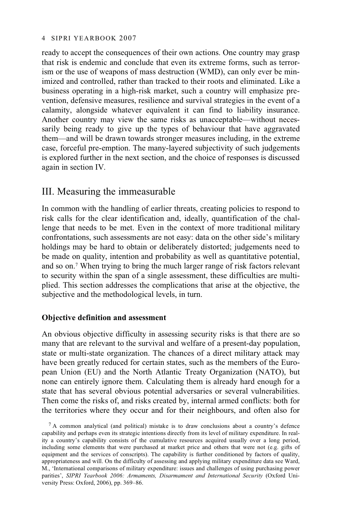ready to accept the consequences of their own actions. One country may grasp that risk is endemic and conclude that even its extreme forms, such as terrorism or the use of weapons of mass destruction (WMD), can only ever be minimized and controlled, rather than tracked to their roots and eliminated. Like a business operating in a high-risk market, such a country will emphasize prevention, defensive measures, resilience and survival strategies in the event of a calamity, alongside whatever equivalent it can find to liability insurance. Another country may view the same risks as unacceptable—without necessarily being ready to give up the types of behaviour that have aggravated them—and will be drawn towards stronger measures including, in the extreme case, forceful pre-emption. The many-layered subjectivity of such judgements is explored further in the next section, and the choice of responses is discussed again in section IV.

# III. Measuring the immeasurable

In common with the handling of earlier threats, creating policies to respond to risk calls for the clear identification and, ideally, quantification of the challenge that needs to be met. Even in the context of more traditional military confrontations, such assessments are not easy: data on the other side's military holdings may be hard to obtain or deliberately distorted; judgements need to be made on quality, intention and probability as well as quantitative potential, and so on.7 When trying to bring the much larger range of risk factors relevant to security within the span of a single assessment, these difficulties are multiplied. This section addresses the complications that arise at the objective, the subjective and the methodological levels, in turn.

### **Objective definition and assessment**

An obvious objective difficulty in assessing security risks is that there are so many that are relevant to the survival and welfare of a present-day population, state or multi-state organization. The chances of a direct military attack may have been greatly reduced for certain states, such as the members of the European Union (EU) and the North Atlantic Treaty Organization (NATO), but none can entirely ignore them. Calculating them is already hard enough for a state that has several obvious potential adversaries or several vulnerabilities. Then come the risks of, and risks created by, internal armed conflicts: both for the territories where they occur and for their neighbours, and often also for

<sup>7</sup> A common analytical (and political) mistake is to draw conclusions about a country's defence capability and perhaps even its strategic intentions directly from its level of military expenditure. In reality a country's capability consists of the cumulative resources acquired usually over a long period, including some elements that were purchased at market price and others that were not (e.g. gifts of equipment and the services of conscripts). The capability is further conditioned by factors of quality, appropriateness and will. On the difficulty of assessing and applying military expenditure data see Ward, M., 'International comparisons of military expenditure: issues and challenges of using purchasing power parities', *SIPRI Yearbook 2006: Armaments, Disarmament and International Security* (Oxford University Press: Oxford, 2006), pp. 369–86.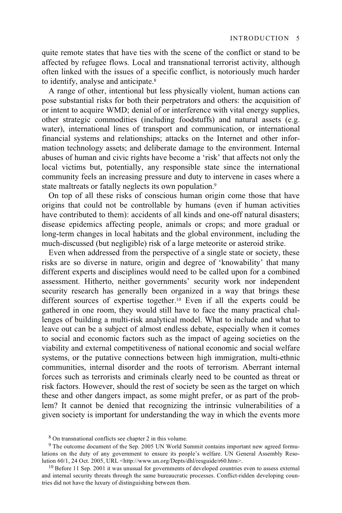quite remote states that have ties with the scene of the conflict or stand to be affected by refugee flows. Local and transnational terrorist activity, although often linked with the issues of a specific conflict, is notoriously much harder to identify, analyse and anticipate.<sup>8</sup>

A range of other, intentional but less physically violent, human actions can pose substantial risks for both their perpetrators and others: the acquisition of or intent to acquire WMD; denial of or interference with vital energy supplies, other strategic commodities (including foodstuffs) and natural assets (e.g. water), international lines of transport and communication, or international financial systems and relationships; attacks on the Internet and other information technology assets; and deliberate damage to the environment. Internal abuses of human and civic rights have become a 'risk' that affects not only the local victims but, potentially, any responsible state since the international community feels an increasing pressure and duty to intervene in cases where a state maltreats or fatally neglects its own population.9

On top of all these risks of conscious human origin come those that have origins that could not be controllable by humans (even if human activities have contributed to them): accidents of all kinds and one-off natural disasters; disease epidemics affecting people, animals or crops; and more gradual or long-term changes in local habitats and the global environment, including the much-discussed (but negligible) risk of a large meteorite or asteroid strike.

Even when addressed from the perspective of a single state or society, these risks are so diverse in nature, origin and degree of 'knowability' that many different experts and disciplines would need to be called upon for a combined assessment. Hitherto, neither governments' security work nor independent security research has generally been organized in a way that brings these different sources of expertise together.10 Even if all the experts could be gathered in one room, they would still have to face the many practical challenges of building a multi-risk analytical model. What to include and what to leave out can be a subject of almost endless debate, especially when it comes to social and economic factors such as the impact of ageing societies on the viability and external competitiveness of national economic and social welfare systems, or the putative connections between high immigration, multi-ethnic communities, internal disorder and the roots of terrorism. Aberrant internal forces such as terrorists and criminals clearly need to be counted as threat or risk factors. However, should the rest of society be seen as the target on which these and other dangers impact, as some might prefer, or as part of the problem? It cannot be denied that recognizing the intrinsic vulnerabilities of a given society is important for understanding the way in which the events more

<sup>8</sup> On transnational conflicts see chapter 2 in this volume.

<sup>9</sup> The outcome document of the Sep. 2005 UN World Summit contains important new agreed formulations on the duty of any government to ensure its people's welfare. UN General Assembly Resolution 60/1, 24 Oct. 2005, URL <http://www.un.org/Depts/dhl/resguide/r60.htm>.

 $10$  Before 11 Sep. 2001 it was unusual for governments of developed countries even to assess external and internal security threats through the same bureaucratic processes. Conflict-ridden developing countries did not have the luxury of distinguishing between them.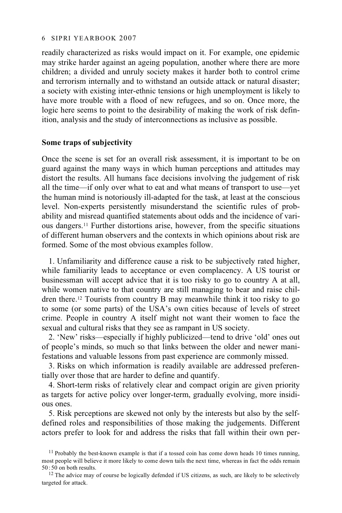readily characterized as risks would impact on it. For example, one epidemic may strike harder against an ageing population, another where there are more children; a divided and unruly society makes it harder both to control crime and terrorism internally and to withstand an outside attack or natural disaster; a society with existing inter-ethnic tensions or high unemployment is likely to have more trouble with a flood of new refugees, and so on. Once more, the logic here seems to point to the desirability of making the work of risk definition, analysis and the study of interconnections as inclusive as possible.

#### **Some traps of subjectivity**

Once the scene is set for an overall risk assessment, it is important to be on guard against the many ways in which human perceptions and attitudes may distort the results. All humans face decisions involving the judgement of risk all the time—if only over what to eat and what means of transport to use—yet the human mind is notoriously ill-adapted for the task, at least at the conscious level. Non-experts persistently misunderstand the scientific rules of probability and misread quantified statements about odds and the incidence of various dangers.11 Further distortions arise, however, from the specific situations of different human observers and the contexts in which opinions about risk are formed. Some of the most obvious examples follow.

1. Unfamiliarity and difference cause a risk to be subjectively rated higher, while familiarity leads to acceptance or even complacency. A US tourist or businessman will accept advice that it is too risky to go to country A at all, while women native to that country are still managing to bear and raise children there.12 Tourists from country B may meanwhile think it too risky to go to some (or some parts) of the USA's own cities because of levels of street crime. People in country A itself might not want their women to face the sexual and cultural risks that they see as rampant in US society.

2. 'New' risks—especially if highly publicized—tend to drive 'old' ones out of people's minds, so much so that links between the older and newer manifestations and valuable lessons from past experience are commonly missed.

3. Risks on which information is readily available are addressed preferentially over those that are harder to define and quantify.

4. Short-term risks of relatively clear and compact origin are given priority as targets for active policy over longer-term, gradually evolving, more insidious ones.

5. Risk perceptions are skewed not only by the interests but also by the selfdefined roles and responsibilities of those making the judgements. Different actors prefer to look for and address the risks that fall within their own per-

 $11$  Probably the best-known example is that if a tossed coin has come down heads 10 times running, most people will believe it more likely to come down tails the next time, whereas in fact the odds remain 50:50 on both results.

 $12$  The advice may of course be logically defended if US citizens, as such, are likely to be selectively targeted for attack.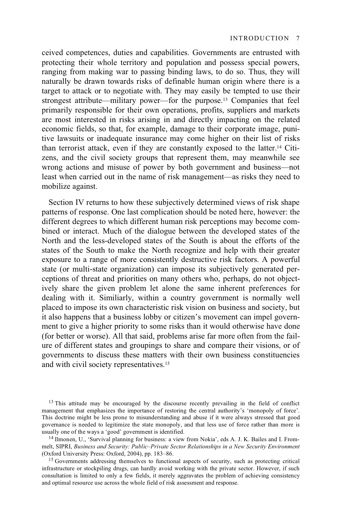ceived competences, duties and capabilities. Governments are entrusted with protecting their whole territory and population and possess special powers, ranging from making war to passing binding laws, to do so. Thus, they will naturally be drawn towards risks of definable human origin where there is a target to attack or to negotiate with. They may easily be tempted to use their strongest attribute—military power—for the purpose.13 Companies that feel primarily responsible for their own operations, profits, suppliers and markets are most interested in risks arising in and directly impacting on the related economic fields, so that, for example, damage to their corporate image, punitive lawsuits or inadequate insurance may come higher on their list of risks than terrorist attack, even if they are constantly exposed to the latter.14 Citizens, and the civil society groups that represent them, may meanwhile see wrong actions and misuse of power by both government and business—not least when carried out in the name of risk management—as risks they need to mobilize against.

Section IV returns to how these subjectively determined views of risk shape patterns of response. One last complication should be noted here, however: the different degrees to which different human risk perceptions may become combined or interact. Much of the dialogue between the developed states of the North and the less-developed states of the South is about the efforts of the states of the South to make the North recognize and help with their greater exposure to a range of more consistently destructive risk factors. A powerful state (or multi-state organization) can impose its subjectively generated perceptions of threat and priorities on many others who, perhaps, do not objectively share the given problem let alone the same inherent preferences for dealing with it. Similiarly, within a country government is normally well placed to impose its own characteristic risk vision on business and society, but it also happens that a business lobby or citizen's movement can impel government to give a higher priority to some risks than it would otherwise have done (for better or worse). All that said, problems arise far more often from the failure of different states and groupings to share and compare their visions, or of governments to discuss these matters with their own business constituencies and with civil society representatives.15

<sup>&</sup>lt;sup>13</sup> This attitude may be encouraged by the discourse recently prevailing in the field of conflict management that emphasizes the importance of restoring the central authority's 'monopoly of force'. This doctrine might be less prone to misunderstanding and abuse if it were always stressed that good governance is needed to legitimize the state monopoly, and that less use of force rather than more is usually one of the ways a 'good' government is identified.

<sup>&</sup>lt;sup>14</sup> Ilmonen, U., 'Survival planning for business: a view from Nokia', eds A. J. K. Bailes and I. Frommelt, SIPRI, *Business and Security: Public–Private Sector Relationships in a New Security Environment*

<sup>&</sup>lt;sup>15</sup> Governments addressing themselves to functional aspects of security, such as protecting critical infrastructure or stockpiling drugs, can hardly avoid working with the private sector. However, if such consultation is limited to only a few fields, it merely aggravates the problem of achieving consistency and optimal resource use across the whole field of risk assessment and response.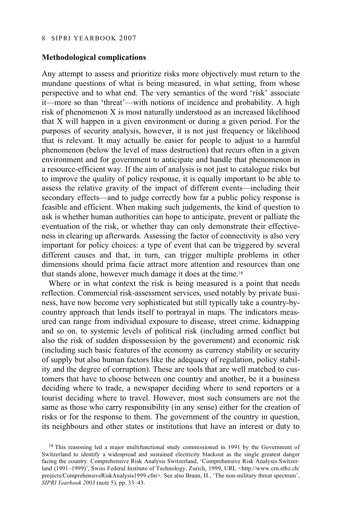#### **Methodological complications**

Any attempt to assess and prioritize risks more objectively must return to the mundane questions of what is being measured, in what setting, from whose perspective and to what end. The very semantics of the word 'risk' associate it—more so than 'threat'—with notions of incidence and probability. A high risk of phenomenon X is most naturally understood as an increased likelihood that X will happen in a given environment or during a given period. For the purposes of security analysis, however, it is not just frequency or likelihood that is relevant. It may actually be easier for people to adjust to a harmful phenomenon (below the level of mass destruction) that recurs often in a given environment and for government to anticipate and handle that phenomenon in a resource-efficient way. If the aim of analysis is not just to catalogue risks but to improve the quality of policy response, it is equally important to be able to assess the relative gravity of the impact of different events—including their secondary effects—and to judge correctly how far a public policy response is feasible and efficient. When making such judgements, the kind of question to ask is whether human authorities can hope to anticipate, prevent or palliate the eventuation of the risk, or whether thay can only demonstrate their effectiveness in clearing up afterwards. Assessing the factor of connectivity is also very important for policy choices: a type of event that can be triggered by several different causes and that, in turn, can trigger multiple problems in other dimensions should prima facie attract more attention and resources than one that stands alone, however much damage it does at the time.16

Where or in what context the risk is being measured is a point that needs reflection. Commercial risk-assessment services, used notably by private business, have now become very sophisticated but still typically take a country-bycountry approach that lends itself to portrayal in maps. The indicators measured can range from individual exposure to disease, street crime, kidnapping and so on, to systemic levels of political risk (including armed conflict but also the risk of sudden dispossession by the government) and economic risk (including such basic features of the economy as currency stability or security of supply but also human factors like the adequacy of regulation, policy stability and the degree of corruption). These are tools that are well matched to customers that have to choose between one country and another, be it a business deciding where to trade, a newspaper deciding where to send reporters or a tourist deciding where to travel. However, most such consumers are not the same as those who carry responsibility (in any sense) either for the creation of risks or for the response to them. The government of the country in question, its neighbours and other states or institutions that have an interest or duty to

<sup>&</sup>lt;sup>16</sup> This reasoning led a major multifunctional study commissioned in 1991 by the Government of Switzerland to identify a widespread and sustained electricity blackout as the single greatest danger facing the country. Comprehensive Risk Analysis Switzerland, 'Comprehensive Risk Analysis Switzerland (1991–1999)', Swiss Federal Institute of Technology, Zurich, 1999, URL <http://www.crn.ethz.ch/ projects/ComprehensiveRiskAnalysis1999.cfm>. See also Braun, H., 'The non-military threat spectrum', *SIPRI Yearbook 2003* (note 5), pp. 33–43.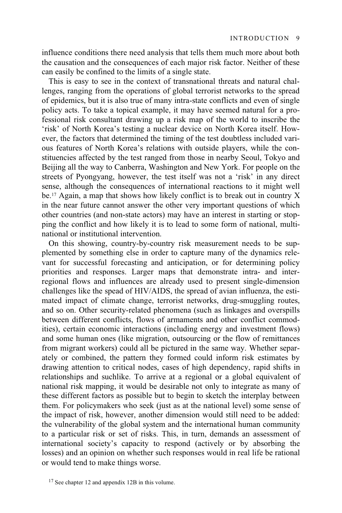influence conditions there need analysis that tells them much more about both the causation and the consequences of each major risk factor. Neither of these can easily be confined to the limits of a single state.

This is easy to see in the context of transnational threats and natural challenges, ranging from the operations of global terrorist networks to the spread of epidemics, but it is also true of many intra-state conflicts and even of single policy acts. To take a topical example, it may have seemed natural for a professional risk consultant drawing up a risk map of the world to inscribe the 'risk' of North Korea's testing a nuclear device on North Korea itself. However, the factors that determined the timing of the test doubtless included various features of North Korea's relations with outside players, while the constituencies affected by the test ranged from those in nearby Seoul, Tokyo and Beijing all the way to Canberra, Washington and New York. For people on the streets of Pyongyang, however, the test itself was not a 'risk' in any direct sense, although the consequences of international reactions to it might well be.17 Again, a map that shows how likely conflict is to break out in country X in the near future cannot answer the other very important questions of which other countries (and non-state actors) may have an interest in starting or stopping the conflict and how likely it is to lead to some form of national, multinational or institutional intervention.

On this showing, country-by-country risk measurement needs to be supplemented by something else in order to capture many of the dynamics relevant for successful forecasting and anticipation, or for determining policy priorities and responses. Larger maps that demonstrate intra- and interregional flows and influences are already used to present single-dimension challenges like the spead of HIV/AIDS, the spread of avian influenza, the estimated impact of climate change, terrorist networks, drug-smuggling routes, and so on. Other security-related phenomena (such as linkages and overspills between different conflicts, flows of armaments and other conflict commodities), certain economic interactions (including energy and investment flows) and some human ones (like migration, outsourcing or the flow of remittances from migrant workers) could all be pictured in the same way. Whether separately or combined, the pattern they formed could inform risk estimates by drawing attention to critical nodes, cases of high dependency, rapid shifts in relationships and suchlike. To arrive at a regional or a global equivalent of national risk mapping, it would be desirable not only to integrate as many of these different factors as possible but to begin to sketch the interplay between them. For policymakers who seek (just as at the national level) some sense of the impact of risk, however, another dimension would still need to be added: the vulnerability of the global system and the international human community to a particular risk or set of risks. This, in turn, demands an assessment of international society's capacity to respond (actively or by absorbing the losses) and an opinion on whether such responses would in real life be rational or would tend to make things worse.

<sup>&</sup>lt;sup>17</sup> See chapter 12 and appendix 12B in this volume.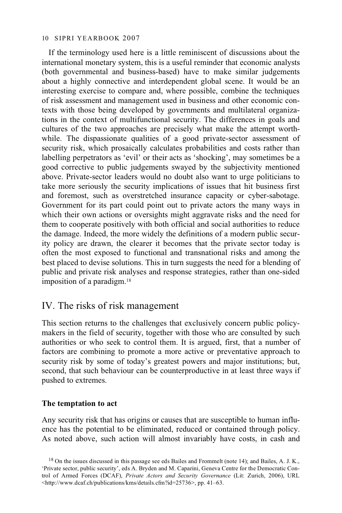If the terminology used here is a little reminiscent of discussions about the international monetary system, this is a useful reminder that economic analysts (both governmental and business-based) have to make similar judgements about a highly connective and interdependent global scene. It would be an interesting exercise to compare and, where possible, combine the techniques of risk assessment and management used in business and other economic contexts with those being developed by governments and multilateral organizations in the context of multifunctional security. The differences in goals and cultures of the two approaches are precisely what make the attempt worthwhile. The dispassionate qualities of a good private-sector assessment of security risk, which prosaically calculates probabilities and costs rather than labelling perpetrators as 'evil' or their acts as 'shocking', may sometimes be a good corrective to public judgements swayed by the subjectivity mentioned above. Private-sector leaders would no doubt also want to urge politicians to take more seriously the security implications of issues that hit business first and foremost, such as overstretched insurance capacity or cyber-sabotage. Government for its part could point out to private actors the many ways in which their own actions or oversights might aggravate risks and the need for them to cooperate positively with both official and social authorities to reduce the damage. Indeed, the more widely the definitions of a modern public security policy are drawn, the clearer it becomes that the private sector today is often the most exposed to functional and transnational risks and among the best placed to devise solutions. This in turn suggests the need for a blending of public and private risk analyses and response strategies, rather than one-sided imposition of a paradigm.18

### IV. The risks of risk management

This section returns to the challenges that exclusively concern public policymakers in the field of security, together with those who are consulted by such authorities or who seek to control them. It is argued, first, that a number of factors are combining to promote a more active or preventative approach to security risk by some of today's greatest powers and major institutions; but, second, that such behaviour can be counterproductive in at least three ways if pushed to extremes.

### **The temptation to act**

Any security risk that has origins or causes that are susceptible to human influence has the potential to be eliminated, reduced or contained through policy. As noted above, such action will almost invariably have costs, in cash and

 $18$  On the issues discussed in this passage see eds Bailes and Frommelt (note 14); and Bailes, A. J. K., 'Private sector, public security', eds A. Bryden and M. Caparini, Geneva Centre for the Democratic Control of Armed Forces (DCAF), *Private Actors and Security Governance* (Lit: Zurich, 2006), URL <http://www.dcaf.ch/publications/kms/details.cfm?id=25736>, pp. 41–63.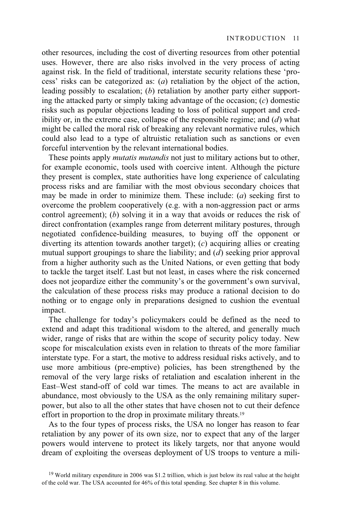other resources, including the cost of diverting resources from other potential uses. However, there are also risks involved in the very process of acting against risk. In the field of traditional, interstate security relations these 'process' risks can be categorized as: (*a*) retaliation by the object of the action, leading possibly to escalation; (*b*) retaliation by another party either supporting the attacked party or simply taking advantage of the occasion; (*c*) domestic risks such as popular objections leading to loss of political support and credibility or, in the extreme case, collapse of the responsible regime; and (*d*) what might be called the moral risk of breaking any relevant normative rules, which could also lead to a type of altruistic retaliation such as sanctions or even forceful intervention by the relevant international bodies.

These points apply *mutatis mutandis* not just to military actions but to other, for example economic, tools used with coercive intent. Although the picture they present is complex, state authorities have long experience of calculating process risks and are familiar with the most obvious secondary choices that may be made in order to minimize them. These include: (*a*) seeking first to overcome the problem cooperatively (e.g. with a non-aggression pact or arms control agreement); (*b*) solving it in a way that avoids or reduces the risk of direct confrontation (examples range from deterrent military postures, through negotiated confidence-building measures, to buying off the opponent or diverting its attention towards another target); (*c*) acquiring allies or creating mutual support groupings to share the liability; and (*d*) seeking prior approval from a higher authority such as the United Nations, or even getting that body to tackle the target itself. Last but not least, in cases where the risk concerned does not jeopardize either the community's or the government's own survival, the calculation of these process risks may produce a rational decision to do nothing or to engage only in preparations designed to cushion the eventual impact.

The challenge for today's policymakers could be defined as the need to extend and adapt this traditional wisdom to the altered, and generally much wider, range of risks that are within the scope of security policy today. New scope for miscalculation exists even in relation to threats of the more familiar interstate type. For a start, the motive to address residual risks actively, and to use more ambitious (pre-emptive) policies, has been strengthened by the removal of the very large risks of retaliation and escalation inherent in the East–West stand-off of cold war times. The means to act are available in abundance, most obviously to the USA as the only remaining military superpower, but also to all the other states that have chosen not to cut their defence effort in proportion to the drop in proximate military threats.<sup>19</sup>

As to the four types of process risks, the USA no longer has reason to fear retaliation by any power of its own size, nor to expect that any of the larger powers would intervene to protect its likely targets, nor that anyone would dream of exploiting the overseas deployment of US troops to venture a mili-

<sup>&</sup>lt;sup>19</sup> World military expenditure in 2006 was \$1.2 trillion, which is just below its real value at the height of the cold war. The USA accounted for 46% of this total spending. See chapter 8 in this volume.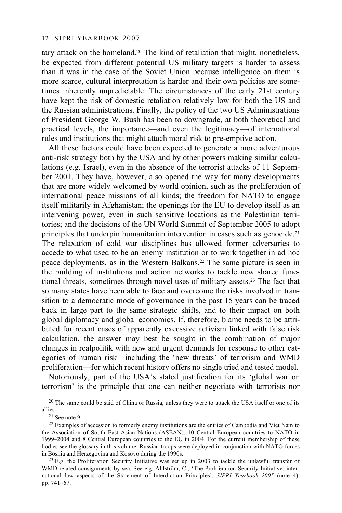tary attack on the homeland.20 The kind of retaliation that might, nonetheless, be expected from different potential US military targets is harder to assess than it was in the case of the Soviet Union because intelligence on them is more scarce, cultural interpretation is harder and their own policies are sometimes inherently unpredictable. The circumstances of the early 21st century have kept the risk of domestic retaliation relatively low for both the US and the Russian administrations. Finally, the policy of the two US Administrations of President George W. Bush has been to downgrade, at both theoretical and practical levels, the importance—and even the legitimacy—of international rules and institutions that might attach moral risk to pre-emptive action.

All these factors could have been expected to generate a more adventurous anti-risk strategy both by the USA and by other powers making similar calculations (e.g. Israel), even in the absence of the terrorist attacks of 11 September 2001. They have, however, also opened the way for many developments that are more widely welcomed by world opinion, such as the proliferation of international peace missions of all kinds; the freedom for NATO to engage itself militarily in Afghanistan; the openings for the EU to develop itself as an intervening power, even in such sensitive locations as the Palestinian territories; and the decisions of the UN World Summit of September 2005 to adopt principles that underpin humanitarian intervention in cases such as genocide.<sup>21</sup> The relaxation of cold war disciplines has allowed former adversaries to accede to what used to be an enemy institution or to work together in ad hoc peace deployments, as in the Western Balkans.22 The same picture is seen in the building of institutions and action networks to tackle new shared functional threats, sometimes through novel uses of military assets.23 The fact that so many states have been able to face and overcome the risks involved in transition to a democratic mode of governance in the past 15 years can be traced back in large part to the same strategic shifts, and to their impact on both global diplomacy and global economics. If, therefore, blame needs to be attributed for recent cases of apparently excessive activism linked with false risk calculation, the answer may best be sought in the combination of major changes in realpolitik with new and urgent demands for response to other categories of human risk—including the 'new threats' of terrorism and WMD proliferation—for which recent history offers no single tried and tested model.

Notoriously, part of the USA's stated justification for its 'global war on terrorism' is the principle that one can neither negotiate with terrorists nor

 $^{20}$  The same could be said of China or Russia, unless they were to attack the USA itself or one of its allies.

 $21$  See note 9.

<sup>&</sup>lt;sup>22</sup> Examples of accession to formerly enemy institutions are the entries of Cambodia and Viet Nam to the Association of South East Asian Nations (ASEAN), 10 Central European countries to NATO in 1999–2004 and 8 Central European countries to the EU in 2004. For the current membership of these bodies see the glossary in this volume. Russian troops were deployed in conjunction with NATO forces in Bosnia and Herzegovina and Kosovo during the 1990s.<br><sup>23</sup> E.g. the Proliferation Security Initiative was set up in 2003 to tackle the unlawful transfer of

WMD-related consignments by sea. See e.g. Ahlström, C., 'The Proliferation Security Initiative: international law aspects of the Statement of Interdiction Principles', *SIPRI Yearbook 2005* (note 4), pp. 741–67.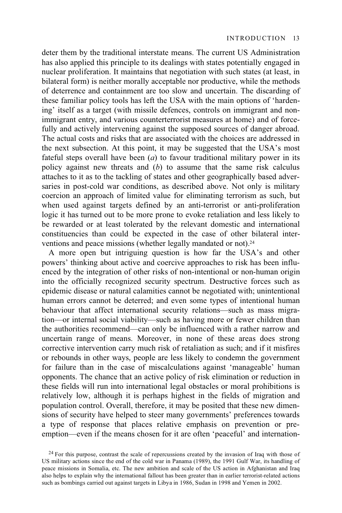deter them by the traditional interstate means. The current US Administration has also applied this principle to its dealings with states potentially engaged in nuclear proliferation. It maintains that negotiation with such states (at least, in bilateral form) is neither morally acceptable nor productive, while the methods of deterrence and containment are too slow and uncertain. The discarding of these familiar policy tools has left the USA with the main options of 'hardening' itself as a target (with missile defences, controls on immigrant and nonimmigrant entry, and various counterterrorist measures at home) and of forcefully and actively intervening against the supposed sources of danger abroad. The actual costs and risks that are associated with the choices are addressed in the next subsection. At this point, it may be suggested that the USA's most fateful steps overall have been  $(a)$  to favour traditional military power in its policy against new threats and (*b*) to assume that the same risk calculus attaches to it as to the tackling of states and other geographically based adversaries in post-cold war conditions, as described above. Not only is military coercion an approach of limited value for eliminating terrorism as such, but when used against targets defined by an anti-terrorist or anti-proliferation logic it has turned out to be more prone to evoke retaliation and less likely to be rewarded or at least tolerated by the relevant domestic and international constituencies than could be expected in the case of other bilateral interventions and peace missions (whether legally mandated or not).<sup>24</sup>

A more open but intriguing question is how far the USA's and other powers' thinking about active and coercive approaches to risk has been influenced by the integration of other risks of non-intentional or non-human origin into the officially recognized security spectrum. Destructive forces such as epidemic disease or natural calamities cannot be negotiated with; unintentional human errors cannot be deterred; and even some types of intentional human behaviour that affect international security relations—such as mass migration—or internal social viability—such as having more or fewer children than the authorities recommend—can only be influenced with a rather narrow and uncertain range of means. Moreover, in none of these areas does strong corrective intervention carry much risk of retaliation as such; and if it misfires or rebounds in other ways, people are less likely to condemn the government for failure than in the case of miscalculations against 'manageable' human opponents. The chance that an active policy of risk elimination or reduction in these fields will run into international legal obstacles or moral prohibitions is relatively low, although it is perhaps highest in the fields of migration and population control. Overall, therefore, it may be posited that these new dimensions of security have helped to steer many governments' preferences towards a type of response that places relative emphasis on prevention or preemption—even if the means chosen for it are often 'peaceful' and internation-

<sup>&</sup>lt;sup>24</sup> For this purpose, contrast the scale of repercussions created by the invasion of Iraq with those of US military actions since the end of the cold war in Panama (1989), the 1991 Gulf War, its handling of peace missions in Somalia, etc. The new ambition and scale of the US action in Afghanistan and Iraq also helps to explain why the international fallout has been greater than in earlier terrorist-related actions such as bombings carried out against targets in Libya in 1986, Sudan in 1998 and Yemen in 2002.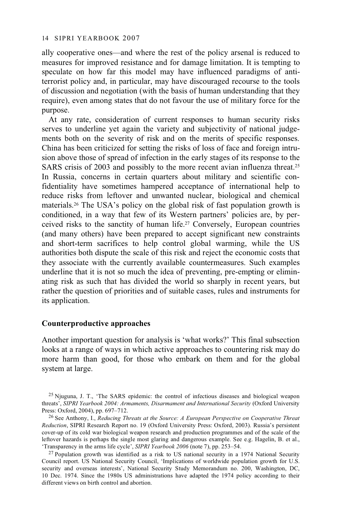ally cooperative ones—and where the rest of the policy arsenal is reduced to measures for improved resistance and for damage limitation. It is tempting to speculate on how far this model may have influenced paradigms of antiterrorist policy and, in particular, may have discouraged recourse to the tools of discussion and negotiation (with the basis of human understanding that they require), even among states that do not favour the use of military force for the purpose.

At any rate, consideration of current responses to human security risks serves to underline yet again the variety and subjectivity of national judgements both on the severity of risk and on the merits of specific responses. China has been criticized for setting the risks of loss of face and foreign intrusion above those of spread of infection in the early stages of its response to the SARS crisis of 2003 and possibly to the more recent avian influenza threat.25 In Russia, concerns in certain quarters about military and scientific confidentiality have sometimes hampered acceptance of international help to reduce risks from leftover and unwanted nuclear, biological and chemical materials.26 The USA's policy on the global risk of fast population growth is conditioned, in a way that few of its Western partners' policies are, by perceived risks to the sanctity of human life.27 Conversely, European countries (and many others) have been prepared to accept significant new constraints and short-term sacrifices to help control global warming, while the US authorities both dispute the scale of this risk and reject the economic costs that they associate with the currently available countermeasures. Such examples underline that it is not so much the idea of preventing, pre-empting or eliminating risk as such that has divided the world so sharply in recent years, but rather the question of priorities and of suitable cases, rules and instruments for its application.

#### **Counterproductive approaches**

Another important question for analysis is 'what works?' This final subsection looks at a range of ways in which active approaches to countering risk may do more harm than good, for those who embark on them and for the global system at large.

 $^{25}$  Njuguna, J. T., 'The SARS epidemic: the control of infectious diseases and biological weapon threats', *SIPRI Yearbook 2004: Armaments, Disarmament and International Security* (Oxford University Press: Oxford, 2004), pp. 697–712.

<sup>&</sup>lt;sup>26</sup> See Anthony, I., *Reducing Threats at the Source: A European Perspective on Cooperative Threat Reduction*, SIPRI Research Report no. 19 (Oxford University Press: Oxford, 2003). Russia's persistent cover-up of its cold war biological weapon research and production programmes and of the scale of the leftover hazards is perhaps the single most glaring and dangerous example. See e.g. Hagelin, B. et al., 'Transparency in the arms life cycle', *SIPRI Yearbook 2006* (note 7), pp. 253–54.

<sup>&</sup>lt;sup>27</sup> Population growth was identified as a risk to US national security in a 1974 National Security Council report. US National Security Council, 'Implications of worldwide population growth for U.S. security and overseas interests', National Security Study Memorandum no. 200, Washington, DC, 10 Dec. 1974. Since the 1980s US administrations have adapted the 1974 policy according to their different views on birth control and abortion.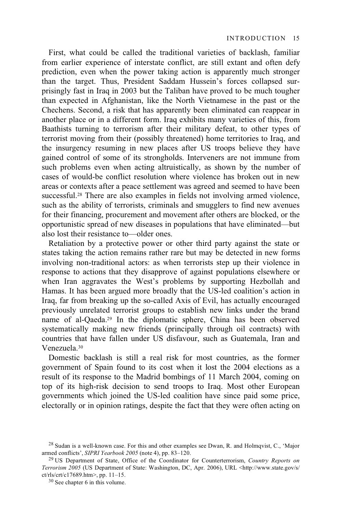First, what could be called the traditional varieties of backlash, familiar from earlier experience of interstate conflict, are still extant and often defy prediction, even when the power taking action is apparently much stronger than the target. Thus, President Saddam Hussein's forces collapsed surprisingly fast in Iraq in 2003 but the Taliban have proved to be much tougher than expected in Afghanistan, like the North Vietnamese in the past or the Chechens. Second, a risk that has apparently been eliminated can reappear in another place or in a different form. Iraq exhibits many varieties of this, from Baathists turning to terrorism after their military defeat, to other types of terrorist moving from their (possibly threatened) home territories to Iraq, and the insurgency resuming in new places after US troops believe they have gained control of some of its strongholds. Interveners are not immune from such problems even when acting altruistically, as shown by the number of cases of would-be conflict resolution where violence has broken out in new areas or contexts after a peace settlement was agreed and seemed to have been successful.<sup>28</sup> There are also examples in fields not involving armed violence, such as the ability of terrorists, criminals and smugglers to find new avenues for their financing, procurement and movement after others are blocked, or the opportunistic spread of new diseases in populations that have eliminated—but also lost their resistance to—older ones.

Retaliation by a protective power or other third party against the state or states taking the action remains rather rare but may be detected in new forms involving non-traditional actors: as when terrorists step up their violence in response to actions that they disapprove of against populations elsewhere or when Iran aggravates the West's problems by supporting Hezbollah and Hamas. It has been argued more broadly that the US-led coalition's action in Iraq, far from breaking up the so-called Axis of Evil, has actually encouraged previously unrelated terrorist groups to establish new links under the brand name of al-Qaeda.29 In the diplomatic sphere, China has been observed systematically making new friends (principally through oil contracts) with countries that have fallen under US disfavour, such as Guatemala, Iran and Venezuela.30

Domestic backlash is still a real risk for most countries, as the former government of Spain found to its cost when it lost the 2004 elections as a result of its response to the Madrid bombings of 11 March 2004, coming on top of its high-risk decision to send troops to Iraq. Most other European governments which joined the US-led coalition have since paid some price, electorally or in opinion ratings, despite the fact that they were often acting on

 $^{28}$  Sudan is a well-known case. For this and other examples see Dwan, R. and Holmqvist, C., 'Major armed conflicts', *SIPRI Yearbook 2005* (note 4), pp. 83–120. 29 US Department of State, Office of the Coordinator for Counterterrorism, *Country Reports on* 

*Terrorism 2005* (US Department of State: Washington, DC, Apr. 2006), URL <http://www.state.gov/s/ ct/rls/crt/c17689.htm>, pp. 11–15.<br> $30$  See chapter 6 in this volume.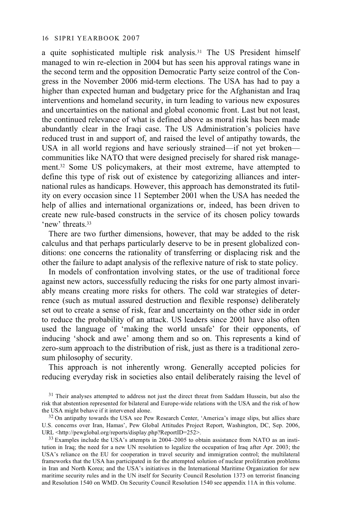a quite sophisticated multiple risk analysis.31 The US President himself managed to win re-election in 2004 but has seen his approval ratings wane in the second term and the opposition Democratic Party seize control of the Congress in the November 2006 mid-term elections. The USA has had to pay a higher than expected human and budgetary price for the Afghanistan and Iraq interventions and homeland security, in turn leading to various new exposures and uncertainties on the national and global economic front. Last but not least, the continued relevance of what is defined above as moral risk has been made abundantly clear in the Iraqi case. The US Administration's policies have reduced trust in and support of, and raised the level of antipathy towards, the USA in all world regions and have seriously strained—if not yet broken communities like NATO that were designed precisely for shared risk management.32 Some US policymakers, at their most extreme, have attempted to define this type of risk out of existence by categorizing alliances and international rules as handicaps. However, this approach has demonstrated its futility on every occasion since 11 September 2001 when the USA has needed the help of allies and international organizations or, indeed, has been driven to create new rule-based constructs in the service of its chosen policy towards 'new' threats 33

There are two further dimensions, however, that may be added to the risk calculus and that perhaps particularly deserve to be in present globalized conditions: one concerns the rationality of transferring or displacing risk and the other the failure to adapt analysis of the reflexive nature of risk to state policy.

In models of confrontation involving states, or the use of traditional force against new actors, successfully reducing the risks for one party almost invariably means creating more risks for others. The cold war strategies of deterrence (such as mutual assured destruction and flexible response) deliberately set out to create a sense of risk, fear and uncertainty on the other side in order to reduce the probability of an attack. US leaders since 2001 have also often used the language of 'making the world unsafe' for their opponents, of inducing 'shock and awe' among them and so on. This represents a kind of zero-sum approach to the distribution of risk, just as there is a traditional zerosum philosophy of security.

This approach is not inherently wrong. Generally accepted policies for reducing everyday risk in societies also entail deliberately raising the level of

 $^{33}$  Examples include the USA's attempts in 2004–2005 to obtain assistance from NATO as an institution in Iraq; the need for a new UN resolution to legalize the occupation of Iraq after Apr. 2003; the USA's reliance on the EU for cooperation in travel security and immigration control; the multilateral frameworks that the USA has participated in for the attempted solution of nuclear proliferation problems in Iran and North Korea; and the USA's initiatives in the International Maritime Organization for new maritime security rules and in the UN itself for Security Council Resolution 1373 on terrorist financing and Resolution 1540 on WMD. On Security Council Resolution 1540 see appendix 11A in this volume.

<sup>&</sup>lt;sup>31</sup> Their analyses attempted to address not just the direct threat from Saddam Hussein, but also the risk that abstention represented for bilateral and Europe-wide relations with the USA and the risk of how

 $32$  On antipathy towards the USA see Pew Research Center, 'America's image slips, but allies share U.S. concerns over Iran, Hamas', Pew Global Attitudes Project Report, Washington, DC, Sep. 2006, URL <http://pewglobal.org/reports/display.php?ReportID=252>.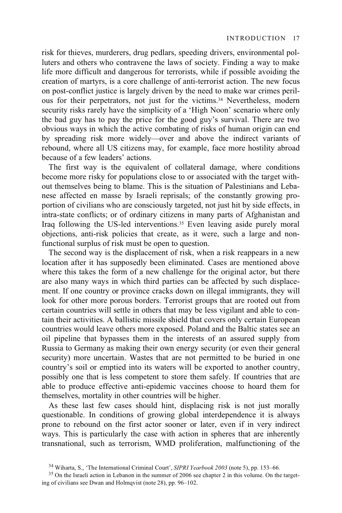risk for thieves, murderers, drug pedlars, speeding drivers, environmental polluters and others who contravene the laws of society. Finding a way to make life more difficult and dangerous for terrorists, while if possible avoiding the creation of martyrs, is a core challenge of anti-terrorist action. The new focus on post-conflict justice is largely driven by the need to make war crimes perilous for their perpetrators, not just for the victims.34 Nevertheless, modern security risks rarely have the simplicity of a 'High Noon' scenario where only the bad guy has to pay the price for the good guy's survival. There are two obvious ways in which the active combating of risks of human origin can end by spreading risk more widely—over and above the indirect variants of rebound, where all US citizens may, for example, face more hostility abroad because of a few leaders' actions.

The first way is the equivalent of collateral damage, where conditions become more risky for populations close to or associated with the target without themselves being to blame. This is the situation of Palestinians and Lebanese affected en masse by Israeli reprisals; of the constantly growing proportion of civilians who are consciously targeted, not just hit by side effects, in intra-state conflicts; or of ordinary citizens in many parts of Afghanistan and Iraq following the US-led interventions.35 Even leaving aside purely moral objections, anti-risk policies that create, as it were, such a large and nonfunctional surplus of risk must be open to question.

The second way is the displacement of risk, when a risk reappears in a new location after it has supposedly been eliminated. Cases are mentioned above where this takes the form of a new challenge for the original actor, but there are also many ways in which third parties can be affected by such displacement. If one country or province cracks down on illegal immigrants, they will look for other more porous borders. Terrorist groups that are rooted out from certain countries will settle in others that may be less vigilant and able to contain their activities. A ballistic missile shield that covers only certain European countries would leave others more exposed. Poland and the Baltic states see an oil pipeline that bypasses them in the interests of an assured supply from Russia to Germany as making their own energy security (or even their general security) more uncertain. Wastes that are not permitted to be buried in one country's soil or emptied into its waters will be exported to another country, possibly one that is less competent to store them safely. If countries that are able to produce effective anti-epidemic vaccines choose to hoard them for themselves, mortality in other countries will be higher.

As these last few cases should hint, displacing risk is not just morally questionable. In conditions of growing global interdependence it is always prone to rebound on the first actor sooner or later, even if in very indirect ways. This is particularly the case with action in spheres that are inherently transnational, such as terrorism, WMD proliferation, malfunctioning of the

<sup>&</sup>lt;sup>34</sup> Wiharta, S., 'The International Criminal Court', *SIPRI Yearbook 2003* (note 5), pp. 153–66. <sup>35</sup> On the Israeli action in Lebanon in the summer of 2006 see chapter 2 in this volume. On the targeting of civilians see Dwan and Holmqvist (note 28), pp. 96–102.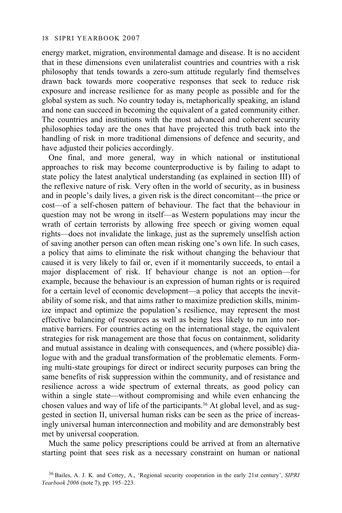energy market, migration, environmental damage and disease. It is no accident that in these dimensions even unilateralist countries and countries with a risk philosophy that tends towards a zero-sum attitude regularly find themselves drawn back towards more cooperative responses that seek to reduce risk exposure and increase resilience for as many people as possible and for the global system as such. No country today is, metaphorically speaking, an island and none can succeed in becoming the equivalent of a gated community either. The countries and institutions with the most advanced and coherent security philosophies today are the ones that have projected this truth back into the handling of risk in more traditional dimensions of defence and security, and have adjusted their policies accordingly.

One final, and more general, way in which national or institutional approaches to risk may become counterproductive is by failing to adapt to state policy the latest analytical understanding (as explained in section III) of the reflexive nature of risk. Very often in the world of security, as in business and in people's daily lives, a given risk is the direct concomitant—the price or cost—of a self-chosen pattern of behaviour. The fact that the behaviour in question may not be wrong in itself—as Western populations may incur the wrath of certain terrorists by allowing free speech or giving women equal rights—does not invalidate the linkage, just as the supremely unselfish action of saving another person can often mean risking one's own life. In such cases, a policy that aims to eliminate the risk without changing the behaviour that caused it is very likely to fail or, even if it momentarily succeeds, to entail a major displacement of risk. If behaviour change is not an option—for example, because the behaviour is an expression of human rights or is required for a certain level of economic development—a policy that accepts the inevitability of some risk, and that aims rather to maximize prediction skills, minimize impact and optimize the population's resilience, may represent the most effective balancing of resources as well as being less likely to run into normative barriers. For countries acting on the international stage, the equivalent strategies for risk management are those that focus on containment, solidarity and mutual assistance in dealing with consequences, and (where possible) dialogue with and the gradual transformation of the problematic elements. Forming multi-state groupings for direct or indirect security purposes can bring the same benefits of risk suppression within the community, and of resistance and resilience across a wide spectrum of external threats, as good policy can within a single state—without compromising and while even enhancing the chosen values and way of life of the participants.36 At global level, and as suggested in section II, universal human risks can be seen as the price of increasingly universal human interconnection and mobility and are demonstrably best met by universal cooperation.

Much the same policy prescriptions could be arrived at from an alternative starting point that sees risk as a necessary constraint on human or national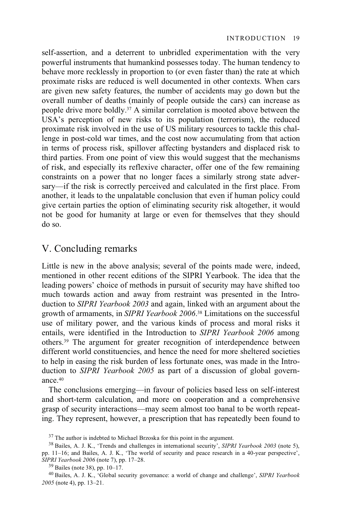self-assertion, and a deterrent to unbridled experimentation with the very powerful instruments that humankind possesses today. The human tendency to behave more recklessly in proportion to (or even faster than) the rate at which proximate risks are reduced is well documented in other contexts. When cars are given new safety features, the number of accidents may go down but the overall number of deaths (mainly of people outside the cars) can increase as people drive more boldly.37 A similar correlation is mooted above between the USA's perception of new risks to its population (terrorism), the reduced proximate risk involved in the use of US military resources to tackle this challenge in post-cold war times, and the cost now accumulating from that action in terms of process risk, spillover affecting bystanders and displaced risk to third parties. From one point of view this would suggest that the mechanisms of risk, and especially its reflexive character, offer one of the few remaining constraints on a power that no longer faces a similarly strong state adversary—if the risk is correctly perceived and calculated in the first place. From another, it leads to the unpalatable conclusion that even if human policy could give certain parties the option of eliminating security risk altogether, it would not be good for humanity at large or even for themselves that they should do so.

# V. Concluding remarks

Little is new in the above analysis; several of the points made were, indeed, mentioned in other recent editions of the SIPRI Yearbook. The idea that the leading powers' choice of methods in pursuit of security may have shifted too much towards action and away from restraint was presented in the Introduction to *SIPRI Yearbook 2003* and again, linked with an argument about the growth of armaments, in *SIPRI Yearbook 2006*. 38 Limitations on the successful use of military power, and the various kinds of process and moral risks it entails, were identified in the Introduction to *SIPRI Yearbook 2006* among others.39 The argument for greater recognition of interdependence between different world constituencies, and hence the need for more sheltered societies to help in easing the risk burden of less fortunate ones, was made in the Introduction to *SIPRI Yearbook 2005* as part of a discussion of global governance.40

The conclusions emerging—in favour of policies based less on self-interest and short-term calculation, and more on cooperation and a comprehensive grasp of security interactions—may seem almost too banal to be worth repeating. They represent, however, a prescription that has repeatedly been found to

<sup>&</sup>lt;sup>37</sup> The author is indebted to Michael Brzoska for this point in the argument.

<sup>38</sup> Bailes, A. J. K., 'Trends and challenges in international security', *SIPRI Yearbook 2003* (note 5), pp. 11–16; and Bailes, A. J. K., 'The world of security and peace research in a 40-year perspective',

*SIPRI Yearbook 2006* (note 7), pp. 17–28. 39 Bailes (note 38), pp. 10–17.

<sup>40</sup> Bailes, A. J. K., 'Global security governance: a world of change and challenge', *SIPRI Yearbook 2005* (note 4), pp. 13–21.